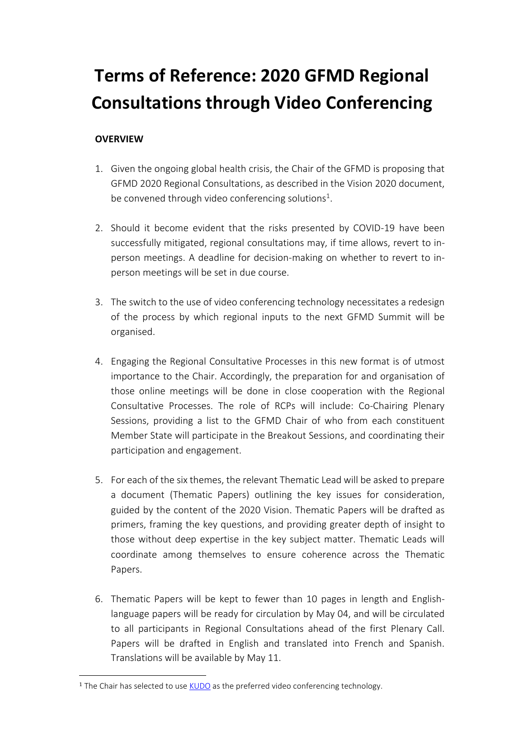## **Terms of Reference: 2020 GFMD Regional Consultations through Video Conferencing**

## **OVERVIEW**

 $\overline{a}$ 

- 1. Given the ongoing global health crisis, the Chair of the GFMD is proposing that GFMD 2020 Regional Consultations, as described in the Vision 2020 document, be convened through video conferencing solutions $^{\rm 1}.$
- 2. Should it become evident that the risks presented by COVID-19 have been successfully mitigated, regional consultations may, if time allows, revert to inperson meetings. A deadline for decision-making on whether to revert to inperson meetings will be set in due course.
- 3. The switch to the use of video conferencing technology necessitates a redesign of the process by which regional inputs to the next GFMD Summit will be organised.
- 4. Engaging the Regional Consultative Processes in this new format is of utmost importance to the Chair. Accordingly, the preparation for and organisation of those online meetings will be done in close cooperation with the Regional Consultative Processes. The role of RCPs will include: Co-Chairing Plenary Sessions, providing a list to the GFMD Chair of who from each constituent Member State will participate in the Breakout Sessions, and coordinating their participation and engagement.
- 5. For each of the six themes, the relevant Thematic Lead will be asked to prepare a document (Thematic Papers) outlining the key issues for consideration, guided by the content of the 2020 Vision. Thematic Papers will be drafted as primers, framing the key questions, and providing greater depth of insight to those without deep expertise in the key subject matter. Thematic Leads will coordinate among themselves to ensure coherence across the Thematic Papers.
- 6. Thematic Papers will be kept to fewer than 10 pages in length and Englishlanguage papers will be ready for circulation by May 04, and will be circulated to all participants in Regional Consultations ahead of the first Plenary Call. Papers will be drafted in English and translated into French and Spanish. Translations will be available by May 11.

<sup>&</sup>lt;sup>1</sup> The Chair has selected to use [KUDO](https://kudoway.com/) as the preferred video conferencing technology.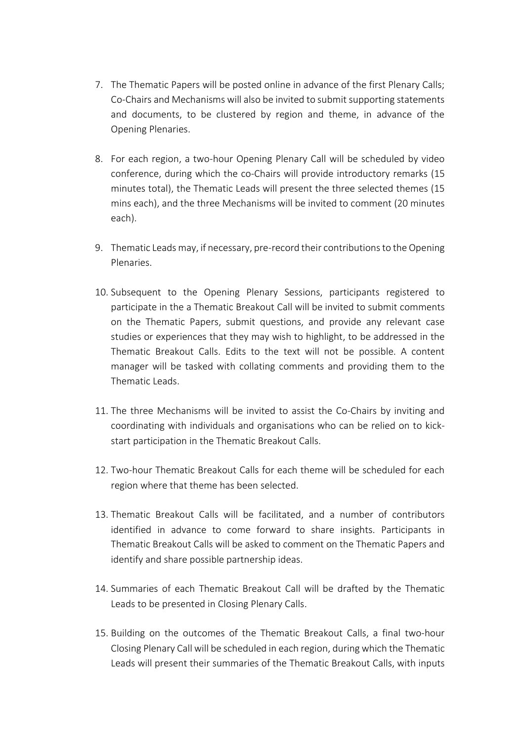- 7. The Thematic Papers will be posted online in advance of the first Plenary Calls; Co-Chairs and Mechanisms will also be invited to submit supporting statements and documents, to be clustered by region and theme, in advance of the Opening Plenaries.
- 8. For each region, a two-hour Opening Plenary Call will be scheduled by video conference, during which the co-Chairs will provide introductory remarks (15 minutes total), the Thematic Leads will present the three selected themes (15 mins each), and the three Mechanisms will be invited to comment (20 minutes each).
- 9. Thematic Leads may, if necessary, pre-record their contributions to the Opening Plenaries.
- 10. Subsequent to the Opening Plenary Sessions, participants registered to participate in the a Thematic Breakout Call will be invited to submit comments on the Thematic Papers, submit questions, and provide any relevant case studies or experiences that they may wish to highlight, to be addressed in the Thematic Breakout Calls. Edits to the text will not be possible. A content manager will be tasked with collating comments and providing them to the Thematic Leads.
- 11. The three Mechanisms will be invited to assist the Co-Chairs by inviting and coordinating with individuals and organisations who can be relied on to kickstart participation in the Thematic Breakout Calls.
- 12. Two-hour Thematic Breakout Calls for each theme will be scheduled for each region where that theme has been selected.
- 13. Thematic Breakout Calls will be facilitated, and a number of contributors identified in advance to come forward to share insights. Participants in Thematic Breakout Calls will be asked to comment on the Thematic Papers and identify and share possible partnership ideas.
- 14. Summaries of each Thematic Breakout Call will be drafted by the Thematic Leads to be presented in Closing Plenary Calls.
- 15. Building on the outcomes of the Thematic Breakout Calls, a final two-hour Closing Plenary Call will be scheduled in each region, during which the Thematic Leads will present their summaries of the Thematic Breakout Calls, with inputs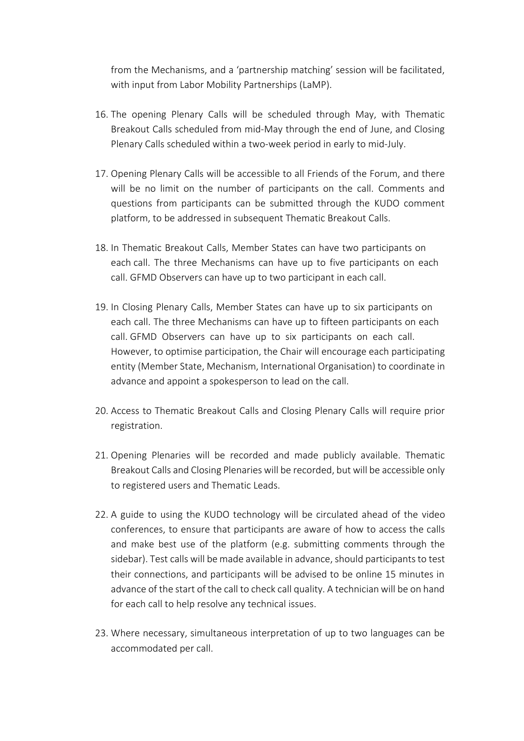from the Mechanisms, and a 'partnership matching' session will be facilitated, with input from Labor Mobility Partnerships (LaMP).

- 16. The opening Plenary Calls will be scheduled through May, with Thematic Breakout Calls scheduled from mid-May through the end of June, and Closing Plenary Calls scheduled within a two-week period in early to mid-July.
- 17. Opening Plenary Calls will be accessible to all Friends of the Forum, and there will be no limit on the number of participants on the call. Comments and questions from participants can be submitted through the KUDO comment platform, to be addressed in subsequent Thematic Breakout Calls.
- 18. In Thematic Breakout Calls, Member States can have two participants on each call. The three Mechanisms can have up to five participants on each call. GFMD Observers can have up to two participant in each call.
- 19. In Closing Plenary Calls, Member States can have up to six participants on each call. The three Mechanisms can have up to fifteen participants on each call. GFMD Observers can have up to six participants on each call. However, to optimise participation, the Chair will encourage each participating entity (Member State, Mechanism, International Organisation) to coordinate in advance and appoint a spokesperson to lead on the call.
- 20. Access to Thematic Breakout Calls and Closing Plenary Calls will require prior registration.
- 21. Opening Plenaries will be recorded and made publicly available. Thematic Breakout Calls and Closing Plenaries will be recorded, but will be accessible only to registered users and Thematic Leads.
- 22. A guide to using the KUDO technology will be circulated ahead of the video conferences, to ensure that participants are aware of how to access the calls and make best use of the platform (e.g. submitting comments through the sidebar). Test calls will be made available in advance, should participants to test their connections, and participants will be advised to be online 15 minutes in advance of the start of the call to check call quality. A technician will be on hand for each call to help resolve any technical issues.
- 23. Where necessary, simultaneous interpretation of up to two languages can be accommodated per call.